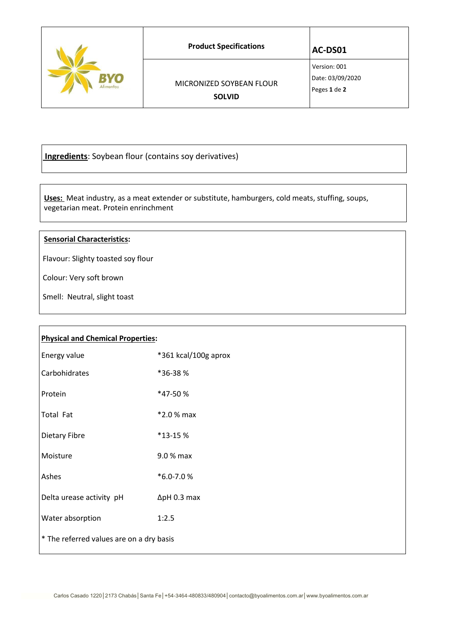| VO<br>Alimentos | <b>Product Specifications</b>             | AC-DS01                                          |
|-----------------|-------------------------------------------|--------------------------------------------------|
|                 | MICRONIZED SOYBEAN FLOUR<br><b>SOLVID</b> | Version: 001<br>Date: 03/09/2020<br>Peges 1 de 2 |

**Ingredients**: Soybean flour (contains soy derivatives)

 **Uses:** Meat industry, as a meat extender or substitute, hamburgers, cold meats, stuffing, soups, vegetarian meat. Protein enrinchment

## **Sensorial Characteristics:**

Flavour: Slighty toasted soy flour

Colour: Very soft brown

Smell: Neutral, slight toast

| <b>Physical and Chemical Properties:</b> |                      |  |
|------------------------------------------|----------------------|--|
| Energy value                             | *361 kcal/100g aprox |  |
| Carbohidrates                            | *36-38%              |  |
| Protein                                  | *47-50%              |  |
| Total Fat                                | *2.0 % max           |  |
| Dietary Fibre                            | *13-15 %             |  |
| Moisture                                 | 9.0 % max            |  |
| Ashes                                    | *6.0-7.0%            |  |
| Delta urease activity pH                 | $\Delta$ pH 0.3 max  |  |
| Water absorption                         | 1:2.5                |  |
| * The referred values are on a dry basis |                      |  |